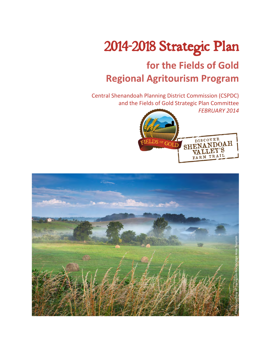# *2014-2018 Strategic Plan*

# for the Fields of Gold **Regional Agritourism Program**

Central Shenandoah Planning District Commission (CSPDC) and the Fields of Gold Strategic Plan Committee

*FEBRUARY 2014*



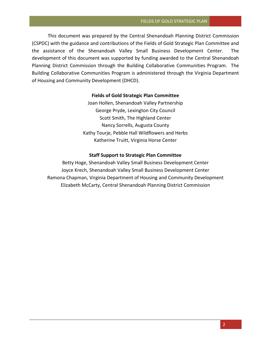This document was prepared by the Central Shenandoah Planning District Commission (CSPDC) with the guidance and contributions of the Fields of Gold Strategic Plan Committee and the assistance of the Shenandoah Valley Small Business Development Center. The development of this document was supported by funding awarded to the Central Shenandoah Planning District Commission through the Building Collaborative Communities Program. The Building Collaborative Communities Program is administered through the Virginia Department of Housing and Community Development (DHCD).

# **Fields of Gold Strategic Plan Committee**

Joan Hollen, Shenandoah Valley Partnership George Pryde, Lexington City Council Scott Smith, The Highland Center Nancy Sorrells, Augusta County Kathy Tourje, Pebble Hall Wildflowers and Herbs Katherine Truitt, Virginia Horse Center

#### **Staff Support to Strategic Plan Committee**

Betty Hoge, Shenandoah Valley Small Business Development Center Joyce Krech, Shenandoah Valley Small Business Development Center Ramona Chapman, Virginia Department of Housing and Community Development Elizabeth McCarty, Central Shenandoah Planning District Commission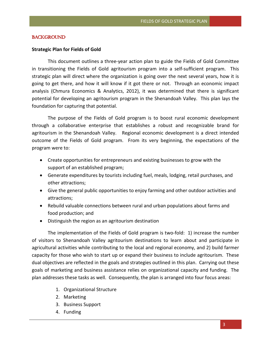# *BACKGROUND*

# **Strategic Plan for Fields of Gold**

This document outlines a three-year action plan to guide the Fields of Gold Committee in transitioning the Fields of Gold agritourism program into a self-sufficient program. This strategic plan will direct where the organization is going over the next several years, how it is going to get there, and how it will know if it got there or not. Through an economic impact analysis (Chmura Economics & Analytics, 2012), it was determined that there is significant potential for developing an agritourism program in the Shenandoah Valley. This plan lays the foundation for capturing that potential.

The purpose of the Fields of Gold program is to boost rural economic development through a collaborative enterprise that establishes a robust and recognizable brand for agritourism in the Shenandoah Valley. Regional economic development is a direct intended outcome of the Fields of Gold program. From its very beginning, the expectations of the program were to:

- Create opportunities for entrepreneurs and existing businesses to grow with the support of an established program;
- Generate expenditures by tourists including fuel, meals, lodging, retail purchases, and other attractions;
- Give the general public opportunities to enjoy farming and other outdoor activities and attractions;
- Rebuild valuable connections between rural and urban populations about farms and food production; and
- Distinguish the region as an agritourism destination

The implementation of the Fields of Gold program is two-fold: 1) increase the number of visitors to Shenandoah Valley agritourism destinations to learn about and participate in agricultural activities while contributing to the local and regional economy, and 2) build farmer capacity for those who wish to start up or expand their business to include agritourism. These dual objectives are reflected in the goals and strategies outlined in this plan. Carrying out these goals of marketing and business assistance relies on organizational capacity and funding. The plan addresses these tasks as well. Consequently, the plan is arranged into four focus areas:

- 1. Organizational Structure
- 2. Marketing
- 3. Business Support
- 4. Funding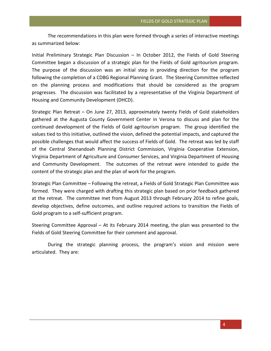The recommendations in this plan were formed through a series of interactive meetings as summarized below:

Initial Preliminary Strategic Plan Discussion – In October 2012, the Fields of Gold Steering Committee began a discussion of a strategic plan for the Fields of Gold agritourism program. The purpose of the discussion was an initial step in providing direction for the program following the completion of a CDBG Regional Planning Grant. The Steering Committee reflected on the planning process and modifications that should be considered as the program progresses. The discussion was facilitated by a representative of the Virginia Department of Housing and Community Development (DHCD).

Strategic Plan Retreat – On June 27, 2013, approximately twenty Fields of Gold stakeholders gathered at the Augusta County Government Center in Verona to discuss and plan for the continued development of the Fields of Gold agritourism program. The group identified the values tied to this initiative, outlined the vision, defined the potential impacts, and captured the possible challenges that would affect the success of Fields of Gold. The retreat was led by staff of the Central Shenandoah Planning District Commission, Virginia Cooperative Extension, Virginia Department of Agriculture and Consumer Services, and Virginia Department of Housing and Community Development. The outcomes of the retreat were intended to guide the content of the strategic plan and the plan of work for the program.

Strategic Plan Committee – Following the retreat, a Fields of Gold Strategic Plan Committee was formed. They were charged with drafting this strategic plan based on prior feedback gathered at the retreat. The committee met from August 2013 through February 2014 to refine goals, develop objectives, define outcomes, and outline required actions to transition the Fields of Gold program to a self-sufficient program.

Steering Committee Approval – At its February 2014 meeting, the plan was presented to the Fields of Gold Steering Committee for their comment and approval.

During the strategic planning process, the program's vision and mission were articulated. They are: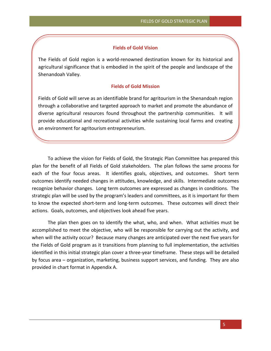#### **Fields of Gold Vision**

The Fields of Gold region is a world-renowned destination known for its historical and agricultural significance that is embodied in the spirit of the people and landscape of the Shenandoah Valley.

# **Fields of Gold Mission**

Fields of Gold will serve as an identifiable brand for agritourism in the Shenandoah region through a collaborative and targeted approach to market and promote the abundance of diverse agricultural resources found throughout the partnership communities. It will provide educational and recreational activities while sustaining local farms and creating an environment for agritourism entrepreneurism.

To achieve the vision for Fields of Gold, the Strategic Plan Committee has prepared this plan for the benefit of all Fields of Gold stakeholders. The plan follows the same process for each of the four focus areas. It identifies goals, objectives, and outcomes. Short term outcomes identify needed changes in attitudes, knowledge, and skills. Intermediate outcomes recognize behavior changes. Long term outcomes are expressed as changes in conditions. The strategic plan will be used by the program's leaders and committees, as it is important for them to know the expected short-term and long-term outcomes. These outcomes will direct their actions. Goals, outcomes, and objectives look ahead five years.

The plan then goes on to identify the what, who, and when. What activities must be accomplished to meet the objective, who will be responsible for carrying out the activity, and when will the activity occur? Because many changes are anticipated over the next five years for the Fields of Gold program as it transitions from planning to full implementation, the activities identified in this initial strategic plan cover a three-year timeframe. These steps will be detailed by focus area – organization, marketing, business support services, and funding. They are also provided in chart format in Appendix A.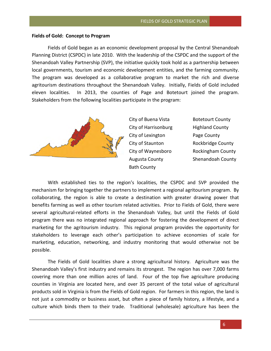# **Fields of Gold: Concept to Program**

Fields of Gold began as an economic development proposal by the Central Shenandoah Planning District (CSPDC) in late 2010. With the leadership of the CSPDC and the support of the Shenandoah Valley Partnership (SVP), the initiative quickly took hold as a partnership between local governments, tourism and economic development entities, and the farming community. The program was developed as a collaborative program to market the rich and diverse agritourism destinations throughout the Shenandoah Valley. Initially, Fields of Gold included eleven localities. In 2013, the counties of Page and Botetourt joined the program. Stakeholders from the following localities participate in the program:



City of Buena Vista **Botetourt County** City of Harrisonburg Highland County City of Lexington **Page County** City of Staunton **Rockbridge County** Bath County

City of Waynesboro Rockingham County Augusta County Shenandoah County

With established ties to the region's localities, the CSPDC and SVP provided the mechanism for bringing together the partners to implement a regional agritourism program. By collaborating, the region is able to create a destination with greater drawing power that benefits farming as well as other tourism related activities. Prior to Fields of Gold, there were several agricultural-related efforts in the Shenandoah Valley, but until the Fields of Gold program there was no integrated regional approach for fostering the development of direct marketing for the agritourism industry. This regional program provides the opportunity for stakeholders to leverage each other's participation to achieve economies of scale for marketing, education, networking, and industry monitoring that would otherwise not be possible.

The Fields of Gold localities share a strong agricultural history. Agriculture was the Shenandoah Valley's first industry and remains its strongest. The region has over 7,000 farms covering more than one million acres of land. Four of the top five agriculture producing counties in Virginia are located here, and over 35 percent of the total value of agricultural products sold in Virginia is from the Fields of Gold region. For farmers in this region, the land is not just a commodity or business asset, but often a piece of family history, a lifestyle, and a culture which binds them to their trade. Traditional (wholesale) agriculture has been the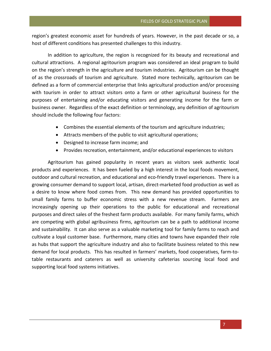region's greatest economic asset for hundreds of years. However, in the past decade or so, a host of different conditions has presented challenges to this industry.

In addition to agriculture, the region is recognized for its beauty and recreational and cultural attractions. A regional agritourism program was considered an ideal program to build on the region's strength in the agriculture and tourism industries. Agritourism can be thought of as the crossroads of tourism and agriculture. Stated more technically, agritourism can be defined as a form of commercial enterprise that links agricultural production and/or processing with tourism in order to attract visitors onto a farm or other agricultural business for the purposes of entertaining and/or educating visitors and generating income for the farm or business owner. Regardless of the exact definition or terminology, any definition of agritourism should include the following four factors:

- Combines the essential elements of the tourism and agriculture industries;
- Attracts members of the public to visit agricultural operations;
- Designed to increase farm income; and
- Provides recreation, entertainment, and/or educational experiences to visitors

Agritourism has gained popularity in recent years as visitors seek authentic local products and experiences. It has been fueled by a high interest in the local foods movement, outdoor and cultural recreation, and educational and eco-friendly travel experiences. There is a growing consumer demand to support local, artisan, direct-marketed food production as well as a desire to know where food comes from. This new demand has provided opportunities to small family farms to buffer economic stress with a new revenue stream. Farmers are increasingly opening up their operations to the public for educational and recreational purposes and direct sales of the freshest farm products available. For many family farms, which are competing with global agribusiness firms, agritourism can be a path to additional income and sustainability. It can also serve as a valuable marketing tool for family farms to reach and cultivate a loyal customer base. Furthermore, many cities and towns have expanded their role as hubs that support the agriculture industry and also to facilitate business related to this new demand for local products. This has resulted in farmers' markets, food cooperatives, farm-totable restaurants and caterers as well as university cafeterias sourcing local food and supporting local food systems initiatives.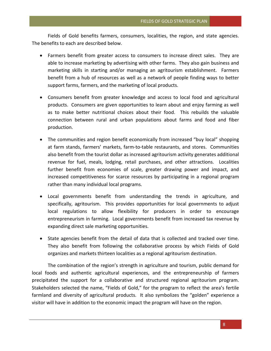Fields of Gold benefits farmers, consumers, localities, the region, and state agencies. The benefits to each are described below.

- Farmers benefit from greater access to consumers to increase direct sales. They are able to increase marketing by advertising with other farms. They also gain business and marketing skills in starting and/or managing an agritourism establishment. Farmers benefit from a hub of resources as well as a network of people finding ways to better support farms, farmers, and the marketing of local products.
- Consumers benefit from greater knowledge and access to local food and agricultural products. Consumers are given opportunities to learn about and enjoy farming as well as to make better nutritional choices about their food. This rebuilds the valuable connection between rural and urban populations about farms and food and fiber production.
- The communities and region benefit economically from increased "buy local" shopping at farm stands, farmers' markets, farm-to-table restaurants, and stores. Communities also benefit from the tourist dollar as increased agritourism activity generates additional revenue for fuel, meals, lodging, retail purchases, and other attractions. Localities further benefit from economies of scale, greater drawing power and impact, and increased competitiveness for scarce resources by participating in a regional program rather than many individual local programs.
- Local governments benefit from understanding the trends in agriculture, and specifically, agritourism. This provides opportunities for local governments to adjust local regulations to allow flexibility for producers in order to encourage entrepreneurism in farming. Local governments benefit from increased tax revenue by expanding direct sale marketing opportunities.
- State agencies benefit from the detail of data that is collected and tracked over time. They also benefit from following the collaborative process by which Fields of Gold organizes and markets thirteen localities as a regional agritourism destination.

The combination of the region's strength in agriculture and tourism, public demand for local foods and authentic agricultural experiences, and the entrepreneurship of farmers precipitated the support for a collaborative and structured regional agritourism program. Stakeholders selected the name, "Fields of Gold," for the program to reflect the area's fertile farmland and diversity of agricultural products. It also symbolizes the "golden" experience a visitor will have in addition to the economic impact the program will have on the region.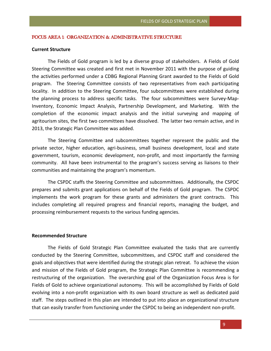# *FOCUS AREA 1: ORGANIZATION & ADMINISTRATIVE STRUCTURE*

# **Current Structure**

The Fields of Gold program is led by a diverse group of stakeholders. A Fields of Gold Steering Committee was created and first met in November 2011 with the purpose of guiding the activities performed under a CDBG Regional Planning Grant awarded to the Fields of Gold program. The Steering Committee consists of two representatives from each participating locality. In addition to the Steering Committee, four subcommittees were established during the planning process to address specific tasks. The four subcommittees were Survey-Map-Inventory, Economic Impact Analysis, Partnership Development, and Marketing. With the completion of the economic impact analysis and the initial surveying and mapping of agritourism sites, the first two committees have dissolved. The latter two remain active, and in 2013, the Strategic Plan Committee was added.

The Steering Committee and subcommittees together represent the public and the private sector, higher education, agri-business, small business development, local and state government, tourism, economic development, non-profit, and most importantly the farming community. All have been instrumental to the program's success serving as liaisons to their communities and maintaining the program's momentum.

The CSPDC staffs the Steering Committee and subcommittees. Additionally, the CSPDC prepares and submits grant applications on behalf of the Fields of Gold program. The CSPDC implements the work program for these grants and administers the grant contracts. This includes completing all required progress and financial reports, managing the budget, and processing reimbursement requests to the various funding agencies.

#### **Recommended Structure**

The Fields of Gold Strategic Plan Committee evaluated the tasks that are currently conducted by the Steering Committee, subcommittees, and CSPDC staff and considered the goals and objectives that were identified during the strategic plan retreat. To achieve the vision and mission of the Fields of Gold program, the Strategic Plan Committee is recommending a restructuring of the organization. The overarching goal of the Organization Focus Area is for Fields of Gold to achieve organizational autonomy. This will be accomplished by Fields of Gold evolving into a non-profit organization with its own board structure as well as dedicated paid staff. The steps outlined in this plan are intended to put into place an organizational structure that can easily transfer from functioning under the CSPDC to being an independent non-profit.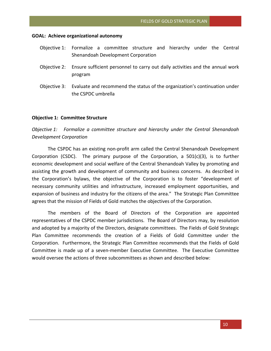#### **GOAL: Achieve organizational autonomy**

- Objective 1: Formalize a committee structure and hierarchy under the Central Shenandoah Development Corporation
- Objective 2: Ensure sufficient personnel to carry out daily activities and the annual work program
- Objective 3: Evaluate and recommend the status of the organization's continuation under the CSPDC umbrella

#### **Objective 1: Committee Structure**

*Objective 1: Formalize a committee structure and hierarchy under the Central Shenandoah Development Corporation* 

The CSPDC has an existing non-profit arm called the Central Shenandoah Development Corporation (CSDC). The primary purpose of the Corporation, a  $501(c)(3)$ , is to further economic development and social welfare of the Central Shenandoah Valley by promoting and assisting the growth and development of community and business concerns. As described in the Corporation's bylaws, the objective of the Corporation is to foster "development of necessary community utilities and infrastructure, increased employment opportunities, and expansion of business and industry for the citizens of the area." The Strategic Plan Committee agrees that the mission of Fields of Gold matches the objectives of the Corporation.

The members of the Board of Directors of the Corporation are appointed representatives of the CSPDC member jurisdictions. The Board of Directors may, by resolution and adopted by a majority of the Directors, designate committees. The Fields of Gold Strategic Plan Committee recommends the creation of a Fields of Gold Committee under the Corporation. Furthermore, the Strategic Plan Committee recommends that the Fields of Gold Committee is made up of a seven-member Executive Committee. The Executive Committee would oversee the actions of three subcommittees as shown and described below: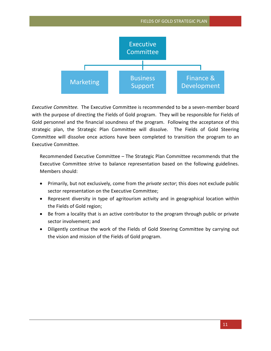

*Executive Committee.*The Executive Committee is recommended to be a seven-member board with the purpose of directing the Fields of Gold program. They will be responsible for Fields of Gold personnel and the financial soundness of the program. Following the acceptance of this strategic plan, the Strategic Plan Committee will dissolve. The Fields of Gold Steering Committee will dissolve once actions have been completed to transition the program to an Executive Committee.

Recommended Executive Committee – The Strategic Plan Committee recommends that the Executive Committee strive to balance representation based on the following guidelines. Members should:

- Primarily, but not exclusively, come from the *private sector*; this does not exclude public sector representation on the Executive Committee;
- Represent diversity in type of agritourism activity and in geographical location within the Fields of Gold region;
- Be from a locality that is an active contributor to the program through public or private sector involvement; and
- Diligently continue the work of the Fields of Gold Steering Committee by carrying out the vision and mission of the Fields of Gold program.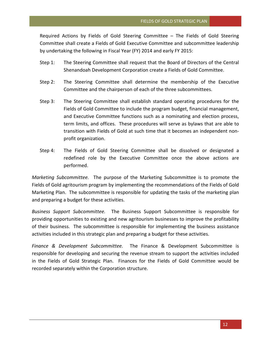Required Actions by Fields of Gold Steering Committee – The Fields of Gold Steering Committee shall create a Fields of Gold Executive Committee and subcommittee leadership by undertaking the following in Fiscal Year (FY) 2014 and early FY 2015:

- Step 1: The Steering Committee shall request that the Board of Directors of the Central Shenandoah Development Corporation create a Fields of Gold Committee.
- Step 2: The Steering Committee shall determine the membership of the Executive Committee and the chairperson of each of the three subcommittees.
- Step 3: The Steering Committee shall establish standard operating procedures for the Fields of Gold Committee to include the program budget, financial management, and Executive Committee functions such as a nominating and election process, term limits, and offices. These procedures will serve as bylaws that are able to transition with Fields of Gold at such time that it becomes an independent nonprofit organization.
- Step 4: The Fields of Gold Steering Committee shall be dissolved or designated a redefined role by the Executive Committee once the above actions are performed.

*Marketing Subcommittee.* The purpose of the Marketing Subcommittee is to promote the Fields of Gold agritourism program by implementing the recommendations of the Fields of Gold Marketing Plan. The subcommittee is responsible for updating the tasks of the marketing plan and preparing a budget for these activities.

*Business Support Subcommittee.*The Business Support Subcommittee is responsible for providing opportunities to existing and new agritourism businesses to improve the profitability of their business. The subcommittee is responsible for implementing the business assistance activities included in this strategic plan and preparing a budget for these activities.

*Finance & Development Subcommittee.* The Finance & Development Subcommittee is responsible for developing and securing the revenue stream to support the activities included in the Fields of Gold Strategic Plan. Finances for the Fields of Gold Committee would be recorded separately within the Corporation structure.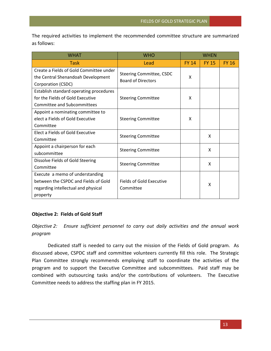The required activities to implement the recommended committee structure are summarized as follows:

| WHAT                                                                                                                       | <b>WHO</b>                                                   | <b>WHEN</b>  |              |              |
|----------------------------------------------------------------------------------------------------------------------------|--------------------------------------------------------------|--------------|--------------|--------------|
| Task                                                                                                                       | Lead                                                         | <b>FY 14</b> | <b>FY 15</b> | <b>FY 16</b> |
| Create a Fields of Gold Committee under<br>the Central Shenandoah Development<br>Corporation (CSDC)                        | <b>Steering Committee, CSDC</b><br><b>Board of Directors</b> | X            |              |              |
| Establish standard operating procedures<br>for the Fields of Gold Executive<br>Committee and Subcommittees                 | <b>Steering Committee</b>                                    | X            |              |              |
| Appoint a nominating committee to<br>elect a Fields of Gold Executive<br>Committee                                         | <b>Steering Committee</b>                                    | X            |              |              |
| Elect a Fields of Gold Executive<br>Committee                                                                              | <b>Steering Committee</b>                                    |              | x            |              |
| Appoint a chairperson for each<br>subcommittee                                                                             | <b>Steering Committee</b>                                    |              | X            |              |
| Dissolve Fields of Gold Steering<br>Committee                                                                              | <b>Steering Committee</b>                                    |              | X            |              |
| Execute a memo of understanding<br>between the CSPDC and Fields of Gold<br>regarding intellectual and physical<br>property | Fields of Gold Executive<br>Committee                        |              | x            |              |

# **Objective 2: Fields of Gold Staff**

*Objective 2: Ensure sufficient personnel to carry out daily activities and the annual work program*

Dedicated staff is needed to carry out the mission of the Fields of Gold program. As discussed above, CSPDC staff and committee volunteers currently fill this role. The Strategic Plan Committee strongly recommends employing staff to coordinate the activities of the program and to support the Executive Committee and subcommittees. Paid staff may be combined with outsourcing tasks and/or the contributions of volunteers. The Executive Committee needs to address the staffing plan in FY 2015.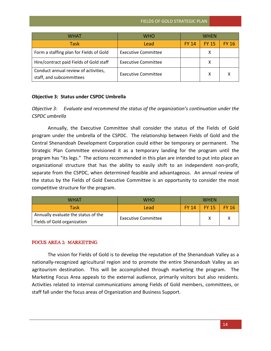| WHAT                                                             | WHO                        | WHFN         |              |              |
|------------------------------------------------------------------|----------------------------|--------------|--------------|--------------|
| Task                                                             | Lead                       | <b>FY 14</b> | <b>FY 15</b> | <b>FY 16</b> |
| Form a staffing plan for Fields of Gold                          | <b>Executive Committee</b> |              | X            |              |
| Hire/contract paid Fields of Gold staff                          | <b>Executive Committee</b> |              | х            |              |
| Conduct annual review of activities,<br>staff, and subcommittees | <b>Executive Committee</b> |              | x            |              |

# **Objective 3: Status under CSPDC Umbrella**

*Objective 3: Evaluate and recommend the status of the organization's continuation under the CSPDC umbrella*

Annually, the Executive Committee shall consider the status of the Fields of Gold program under the umbrella of the CSPDC. The relationship between Fields of Gold and the Central Shenandoah Development Corporation could either be temporary or permanent. The Strategic Plan Committee envisioned it as a temporary landing for the program until the program has "its legs." The actions recommended in this plan are intended to put into place an organizational structure that has the ability to easily shift to an independent non-profit, separate from the CSPDC, when determined feasible and advantageous. An annual review of the status by the Fields of Gold Executive Committee is an opportunity to consider the most competitive structure for the program.

| WHAT                                | WHO                        | <b>WHFN</b>  |              |              |
|-------------------------------------|----------------------------|--------------|--------------|--------------|
| <b>Task</b>                         | Lead                       | <b>FY 14</b> | <b>FY 15</b> | <b>FY 16</b> |
| Annually evaluate the status of the | <b>Executive Committee</b> |              |              |              |
| Fields of Gold organization         |                            |              |              |              |

# *FOCUS AREA 2: MARKETING*

The vision for Fields of Gold is to develop the reputation of the Shenandoah Valley as a nationally-recognized agricultural region and to promote the entire Shenandoah Valley as an agritourism destination. This will be accomplished through marketing the program. The Marketing Focus Area appeals to the external audience, primarily visitors but also residents. Activities related to internal communications among Fields of Gold members, committees, or staff fall under the focus areas of Organization and Business Support.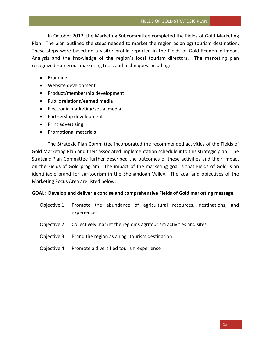In October 2012, the Marketing Subcommittee completed the Fields of Gold Marketing Plan. The plan outlined the steps needed to market the region as an agritourism destination. These steps were based on a visitor profile reported in the Fields of Gold Economic Impact Analysis and the knowledge of the region's local tourism directors. The marketing plan recognized numerous marketing tools and techniques including:

- Branding
- Website development
- Product/membership development
- Public relations/earned media
- Electronic marketing/social media
- Partnership development
- Print advertising
- Promotional materials

The Strategic Plan Committee incorporated the recommended activities of the Fields of Gold Marketing Plan and their associated implementation schedule into this strategic plan. The Strategic Plan Committee further described the outcomes of these activities and their impact on the Fields of Gold program. The impact of the marketing goal is that Fields of Gold is an identifiable brand for agritourism in the Shenandoah Valley. The goal and objectives of the Marketing Focus Area are listed below:

# **GOAL: Develop and deliver a concise and comprehensive Fields of Gold marketing message**

- Objective 1: Promote the abundance of agricultural resources, destinations, and experiences
- Objective 2: Collectively market the region's agritourism activities and sites
- Objective 3: Brand the region as an agritourism destination
- Objective 4: Promote a diversified tourism experience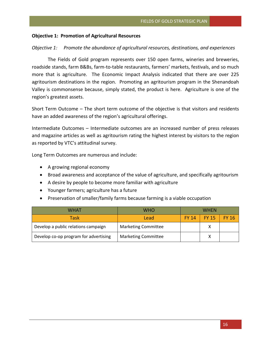# **Objective 1: Promotion of Agricultural Resources**

# *Objective 1: Promote the abundance of agricultural resources, destinations, and experiences*

The Fields of Gold program represents over 150 open farms, wineries and breweries, roadside stands, farm B&Bs, farm-to-table restaurants, farmers' markets, festivals, and so much more that is agriculture. The Economic Impact Analysis indicated that there are over 225 agritourism destinations in the region. Promoting an agritourism program in the Shenandoah Valley is commonsense because, simply stated, the product is here. Agriculture is one of the region's greatest assets.

Short Term Outcome – The short term outcome of the objective is that visitors and residents have an added awareness of the region's agricultural offerings.

Intermediate Outcomes – Intermediate outcomes are an increased number of press releases and magazine articles as well as agritourism rating the highest interest by visitors to the region as reported by VTC's attitudinal survey.

Long Term Outcomes are numerous and include:

- A growing regional economy
- Broad awareness and acceptance of the value of agriculture, and specifically agritourism
- A desire by people to become more familiar with agriculture
- Younger farmers; agriculture has a future
- Preservation of smaller/family farms because farming is a viable occupation

| WHAT                                  | WHO                        | <b>WHFN</b> |              |              |
|---------------------------------------|----------------------------|-------------|--------------|--------------|
| Task                                  | Lead                       | FY 14       | <b>FY 15</b> | <b>FY 16</b> |
| Develop a public relations campaign   | <b>Marketing Committee</b> |             |              |              |
| Develop co-op program for advertising | <b>Marketing Committee</b> |             |              |              |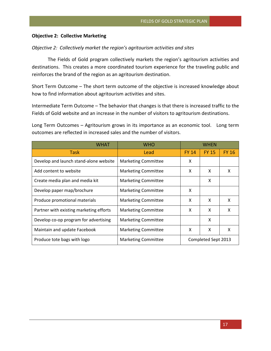# **Objective 2: Collective Marketing**

# *Objective 2: Collectively market the region's agritourism activities and sites*

The Fields of Gold program collectively markets the region's agritourism activities and destinations. This creates a more coordinated tourism experience for the traveling public and reinforces the brand of the region as an agritourism destination.

Short Term Outcome – The short term outcome of the objective is increased knowledge about how to find information about agritourism activities and sites.

Intermediate Term Outcome – The behavior that changes is that there is increased traffic to the Fields of Gold website and an increase in the number of visitors to agritourism destinations.

Long Term Outcomes – Agritourism grows in its importance as an economic tool. Long term outcomes are reflected in increased sales and the number of visitors.

| <b>WHAT</b>                             | <b>WHO</b>                 | WHEN         |                     |              |  |
|-----------------------------------------|----------------------------|--------------|---------------------|--------------|--|
| <b>Task</b>                             | Lead                       | <b>FY 14</b> | <b>FY 15</b>        | <b>FY 16</b> |  |
| Develop and launch stand-alone website  | <b>Marketing Committee</b> | x            |                     |              |  |
| Add content to website                  | <b>Marketing Committee</b> | x            | X                   | x            |  |
| Create media plan and media kit         | <b>Marketing Committee</b> |              | x                   |              |  |
| Develop paper map/brochure              | <b>Marketing Committee</b> | x            |                     |              |  |
| Produce promotional materials           | <b>Marketing Committee</b> | X            | x                   | X            |  |
| Partner with existing marketing efforts | <b>Marketing Committee</b> | X            | X                   | x            |  |
| Develop co-op program for advertising   | <b>Marketing Committee</b> |              | X                   |              |  |
| Maintain and update Facebook            | <b>Marketing Committee</b> | x            | X                   | X            |  |
| Produce tote bags with logo             | <b>Marketing Committee</b> |              | Completed Sept 2013 |              |  |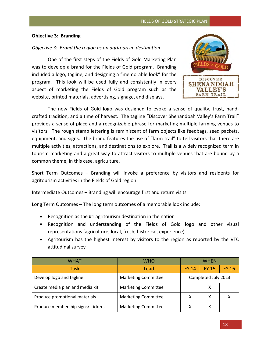# **Objective 3: Branding**

# *Objective 3: Brand the region as an agritourism destination*

One of the first steps of the Fields of Gold Marketing Plan was to develop a brand for the Fields of Gold program. Branding included a logo, tagline, and designing a "memorable look" for the program. This look will be used fully and consistently in every aspect of marketing the Fields of Gold program such as the website, printed materials, advertising, signage, and displays.



The new Fields of Gold logo was designed to evoke a sense of quality, trust, handcrafted tradition, and a time of harvest. The tagline "Discover Shenandoah Valley's Farm Trail" provides a sense of place and a recognizable phrase for marketing multiple farming venues to visitors. The rough stamp lettering is reminiscent of farm objects like feedbags, seed packets, equipment, and signs. The brand features the use of "farm trail" to tell visitors that there are multiple activities, attractions, and destinations to explore. Trail is a widely recognized term in tourism marketing and a great way to attract visitors to multiple venues that are bound by a common theme, in this case, agriculture.

Short Term Outcomes – Branding will invoke a preference by visitors and residents for agritourism activities in the Fields of Gold region.

Intermediate Outcomes – Branding will encourage first and return visits.

Long Term Outcomes – The long term outcomes of a memorable look include:

- Recognition as the #1 agritourism destination in the nation
- Recognition and understanding of the Fields of Gold logo and other visual representations (agriculture, local, fresh, historical, experience)
- Agritourism has the highest interest by visitors to the region as reported by the VTC attitudinal survey

| WHAT                              | <b>WHO</b>                 | <b>WHFN</b>         |              |              |
|-----------------------------------|----------------------------|---------------------|--------------|--------------|
| Task                              | Lead                       | <b>FY 14</b>        | <b>FY 15</b> | <b>FY 16</b> |
| Develop logo and tagline          | <b>Marketing Committee</b> | Completed July 2013 |              |              |
| Create media plan and media kit   | <b>Marketing Committee</b> |                     |              |              |
| Produce promotional materials     | <b>Marketing Committee</b> |                     | X            |              |
| Produce membership signs/stickers | <b>Marketing Committee</b> | х                   | х            |              |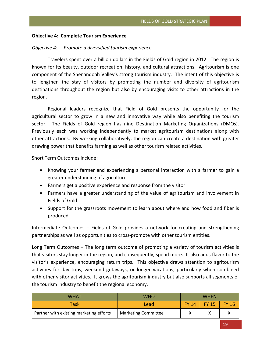# **Objective 4: Complete Tourism Experience**

#### *Objective 4: Promote a diversified tourism experience*

Travelers spent over a billion dollars in the Fields of Gold region in 2012. The region is known for its beauty, outdoor recreation, history, and cultural attractions. Agritourism is one component of the Shenandoah Valley's strong tourism industry. The intent of this objective is to lengthen the stay of visitors by promoting the number and diversity of agritourism destinations throughout the region but also by encouraging visits to other attractions in the region.

Regional leaders recognize that Field of Gold presents the opportunity for the agricultural sector to grow in a new and innovative way while also benefiting the tourism sector. The Fields of Gold region has nine Destination Marketing Organizations (DMOs). Previously each was working independently to market agritourism destinations along with other attractions. By working collaboratively, the region can create a destination with greater drawing power that benefits farming as well as other tourism related activities.

Short Term Outcomes include:

- Knowing your farmer and experiencing a personal interaction with a farmer to gain a greater understanding of agriculture
- Farmers get a positive experience and response from the visitor
- Farmers have a greater understanding of the value of agritourism and involvement in Fields of Gold
- Support for the grassroots movement to learn about where and how food and fiber is produced

Intermediate Outcomes – Fields of Gold provides a network for creating and strengthening partnerships as well as opportunities to cross-promote with other tourism entities.

Long Term Outcomes – The long term outcome of promoting a variety of tourism activities is that visitors stay longer in the region, and consequently, spend more. It also adds flavor to the visitor's experience, encouraging return trips. This objective draws attention to agritourism activities for day trips, weekend getaways, or longer vacations, particularly when combined with other visitor activities. It grows the agritourism industry but also supports all segments of the tourism industry to benefit the regional economy.

| WHAT                                    | <b>WHO</b>                 | <b>WHFN</b>  |              |                  |
|-----------------------------------------|----------------------------|--------------|--------------|------------------|
| Task                                    | Lead                       | <b>FY 14</b> | <b>FY 15</b> | $\sqrt{5}$ FY 16 |
| Partner with existing marketing efforts | <b>Marketing Committee</b> |              |              |                  |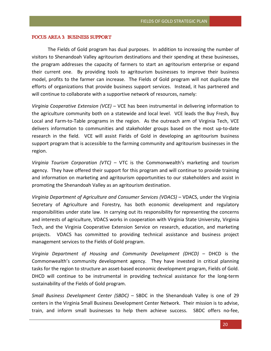# *FOCUS AREA 3: BUSINESS SUPPORT*

The Fields of Gold program has dual purposes. In addition to increasing the number of visitors to Shenandoah Valley agritourism destinations and their spending at these businesses, the program addresses the capacity of farmers to start an agritourism enterprise or expand their current one. By providing tools to agritourism businesses to improve their business model, profits to the farmer can increase. The Fields of Gold program will not duplicate the efforts of organizations that provide business support services. Instead, it has partnered and will continue to collaborate with a supportive network of resources, namely:

*Virginia Cooperative Extension (VCE)* – VCE has been instrumental in delivering information to the agriculture community both on a statewide and local level. VCE leads the Buy Fresh, Buy Local and Farm-to-Table programs in the region. As the outreach arm of Virginia Tech, VCE delivers information to communities and stakeholder groups based on the most up-to-date research in the field. VCE will assist Fields of Gold in developing an agritourism business support program that is accessible to the farming community and agritourism businesses in the region.

*Virginia Tourism Corporation (VTC)* – VTC is the Commonwealth's marketing and tourism agency. They have offered their support for this program and will continue to provide training and information on marketing and agritourism opportunities to our stakeholders and assist in promoting the Shenandoah Valley as an agritourism destination.

*Virginia Department of Agriculture and Consumer Services (VDACS)* – VDACS, under the Virginia Secretary of Agriculture and Forestry, has both economic development and regulatory responsibilities under state law. In carrying out its responsibility for representing the concerns and interests of agriculture, VDACS works in cooperation with Virginia State University, Virginia Tech, and the Virginia Cooperative Extension Service on research, education, and marketing projects. VDACS has committed to providing technical assistance and business project management services to the Fields of Gold program.

*Virginia Department of Housing and Community Development (DHCD)* – DHCD is the Commonwealth's community development agency. They have invested in critical planning tasks for the region to structure an asset-based economic development program, Fields of Gold. DHCD will continue to be instrumental in providing technical assistance for the long-term sustainability of the Fields of Gold program.

*Small Business Development Center (SBDC)* – SBDC in the Shenandoah Valley is one of 29 centers in the Virginia Small Business Development Center Network. Their mission is to advise, train, and inform small businesses to help them achieve success. SBDC offers no-fee,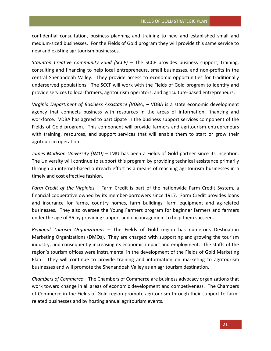confidential consultation, business planning and training to new and established small and medium-sized businesses. For the Fields of Gold program they will provide this same service to new and existing agritourism businesses.

*Staunton Creative Community Fund (SCCF)* – The SCCF provides business support, training, consulting and financing to help local entrepreneurs, small businesses, and non-profits in the central Shenandoah Valley. They provide access to economic opportunities for traditionally underserved populations. The SCCF will work with the Fields of Gold program to identify and provide services to local farmers, agritourism operators, and agriculture-based entrepreneurs.

*Virginia Department of Business Assistance (VDBA)* – VDBA is a state economic development agency that connects business with resources in the areas of information, financing and workforce. VDBA has agreed to participate in the business support services component of the Fields of Gold program. This component will provide farmers and agritourism entrepreneurs with training, resources, and support services that will enable them to start or grow their agritourism operation.

*James Madison University (JMU)* – JMU has been a Fields of Gold partner since its inception. The University will continue to support this program by providing technical assistance primarily through an internet-based outreach effort as a means of reaching agritourism businesses in a timely and cost effective fashion.

*Farm Credit of the Virginias* – Farm Credit is part of the nationwide Farm Credit System, a financial cooperative owned by its member-borrowers since 1917. Farm Credit provides loans and insurance for farms, country homes, farm buildings, farm equipment and ag-related businesses. They also oversee the Young Farmers program for beginner farmers and farmers under the age of 35 by providing support and encouragement to help them succeed.

*Regional Tourism Organizations* – The Fields of Gold region has numerous Destination Marketing Organizations (DMOs). They are charged with supporting and growing the tourism industry, and consequently increasing its economic impact and employment. The staffs of the region's tourism offices were instrumental in the development of the Fields of Gold Marketing Plan. They will continue to provide training and information on marketing to agritourism businesses and will promote the Shenandoah Valley as an agritourism destination.

*Chambers of Commerce* – The Chambers of Commerce are business advocacy organizations that work toward change in all areas of economic development and competiveness. The Chambers of Commerce in the Fields of Gold region promote agritourism through their support to farmrelated businesses and by hosting annual agritourism events.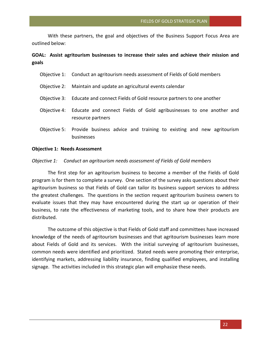With these partners, the goal and objectives of the Business Support Focus Area are outlined below:

# **GOAL: Assist agritourism businesses to increase their sales and achieve their mission and goals**

| Objective 1: Conduct an agritourism needs assessment of Fields of Gold members                         |
|--------------------------------------------------------------------------------------------------------|
| Objective 2: Maintain and update an agricultural events calendar                                       |
| Objective 3: Educate and connect Fields of Gold resource partners to one another                       |
| Objective 4: Educate and connect Fields of Gold agribusinesses to one another and<br>resource partners |
| Objective 5: Provide business advice and training to existing and new agritourism<br><b>businesses</b> |

#### **Objective 1: Needs Assessment**

# *Objective 1: Conduct an agritourism needs assessment of Fields of Gold members*

The first step for an agritourism business to become a member of the Fields of Gold program is for them to complete a survey. One section of the survey asks questions about their agritourism business so that Fields of Gold can tailor its business support services to address the greatest challenges. The questions in the section request agritourism business owners to evaluate issues that they may have encountered during the start up or operation of their business, to rate the effectiveness of marketing tools, and to share how their products are distributed.

The outcome of this objective is that Fields of Gold staff and committees have increased knowledge of the needs of agritourism businesses and that agritourism businesses learn more about Fields of Gold and its services. With the initial surveying of agritourism businesses, common needs were identified and prioritized. Stated needs were promoting their enterprise, identifying markets, addressing liability insurance, finding qualified employees, and installing signage. The activities included in this strategic plan will emphasize these needs.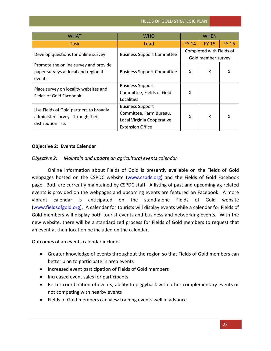# FIELDS OF GOLD STRATEGIC PLAN

| <b>WHAT</b>                                                                                      | <b>WHO</b>                                                                                                  | WHEN         |                                                |              |
|--------------------------------------------------------------------------------------------------|-------------------------------------------------------------------------------------------------------------|--------------|------------------------------------------------|--------------|
| <b>Task</b>                                                                                      | Lead                                                                                                        | <b>FY 14</b> | <b>FY 15</b>                                   | <b>FY 16</b> |
| Develop questions for online survey                                                              | <b>Business Support Committee</b>                                                                           |              | Completed with Fields of<br>Gold member survey |              |
| Promote the online survey and provide<br>paper surveys at local and regional<br>events           | <b>Business Support Committee</b>                                                                           | X            | X                                              | x            |
| Place survey on locality websites and<br>Fields of Gold Facebook                                 | <b>Business Support</b><br>Committee, Fields of Gold<br>Localities                                          | x            |                                                |              |
| Use Fields of Gold partners to broadly<br>administer surveys through their<br>distribution lists | <b>Business Support</b><br>Committee, Farm Bureau,<br>Local Virginia Cooperative<br><b>Extension Office</b> | x            | x                                              | x            |

# **Objective 2: Events Calendar**

# *Objective 2: Maintain and update an agricultural events calendar*

Online information about Fields of Gold is presently available on the Fields of Gold webpages hosted on the CSPDC website [\(www.cspdc.org\)](http://www.cspdc.org/) and the Fields of Gold Facebook page. Both are currently maintained by CSPDC staff. A listing of past and upcoming ag-related events is provided on the webpages and upcoming events are featured on Facebook. A more vibrant calendar is anticipated on the stand-alone Fields of Gold website [\(www.fieldsofgold.org\)](http://www.fieldsofgold.org/). A calendar for tourists will display events while a calendar for Fields of Gold members will display both tourist events and business and networking events. With the new website, there will be a standardized process for Fields of Gold members to request that an event at their location be included on the calendar.

Outcomes of an events calendar include:

- Greater knowledge of events throughout the region so that Fields of Gold members can better plan to participate in area events
- Increased event participation of Fields of Gold members
- Increased event sales for participants
- Better coordination of events; ability to piggyback with other complementary events or not competing with nearby events
- Fields of Gold members can view training events well in advance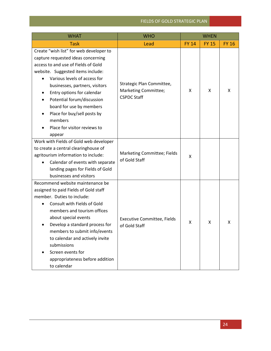# FIELDS OF GOLD STRATEGIC PLAN

| <b>WHAT</b>                                                                                                                                                                                                                                                                                                                                                                                             | <b>WHO</b>                                                              | <b>WHEN</b>  |              |              |
|---------------------------------------------------------------------------------------------------------------------------------------------------------------------------------------------------------------------------------------------------------------------------------------------------------------------------------------------------------------------------------------------------------|-------------------------------------------------------------------------|--------------|--------------|--------------|
| <b>Task</b>                                                                                                                                                                                                                                                                                                                                                                                             | Lead                                                                    | <b>FY 14</b> | <b>FY 15</b> | <b>FY 16</b> |
| Create "wish list" for web developer to<br>capture requested ideas concerning<br>access to and use of Fields of Gold<br>website. Suggested items include:<br>Various levels of access for<br>businesses, partners, visitors<br>Entry options for calendar<br>Potential forum/discussion<br>board for use by members<br>Place for buy/sell posts by<br>members<br>Place for visitor reviews to<br>appear | Strategic Plan Committee,<br>Marketing Committee;<br><b>CSPDC Staff</b> | X            | X            | X            |
| Work with Fields of Gold web developer<br>to create a central clearinghouse of<br>agritourism information to include:<br>Calendar of events with separate<br>landing pages for Fields of Gold<br>businesses and visitors                                                                                                                                                                                | Marketing Committee; Fields<br>of Gold Staff                            | X            |              |              |
| Recommend website maintenance be<br>assigned to paid Fields of Gold staff<br>member. Duties to include:<br>Consult with Fields of Gold<br>members and tourism offices<br>about special events<br>Develop a standard process for<br>members to submit info/events<br>to calendar and actively invite<br>submissions<br>Screen events for<br>appropriateness before addition<br>to calendar               | <b>Executive Committee, Fields</b><br>of Gold Staff                     | X            | X            | X            |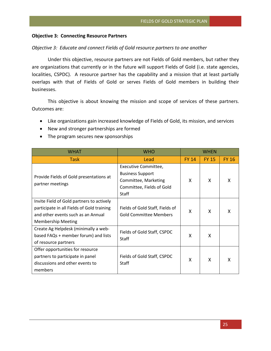# **Objective 3: Connecting Resource Partners**

#### *Objective 3: Educate and connect Fields of Gold resource partners to one another*

Under this objective, resource partners are not Fields of Gold members, but rather they are organizations that currently or in the future will support Fields of Gold (i.e. state agencies, localities, CSPDC). A resource partner has the capability and a mission that at least partially overlaps with that of Fields of Gold or serves Fields of Gold members in building their businesses.

This objective is about knowing the mission and scope of services of these partners. Outcomes are:

- Like organizations gain increased knowledge of Fields of Gold, its mission, and services
- New and stronger partnerships are formed
- The program secures new sponsorships

| <b>WHAT</b>                                                                                                                                                | <b>WHO</b>                                                                                                    | WHEN         |              |              |
|------------------------------------------------------------------------------------------------------------------------------------------------------------|---------------------------------------------------------------------------------------------------------------|--------------|--------------|--------------|
| <b>Task</b>                                                                                                                                                | Lead                                                                                                          | <b>FY 14</b> | <b>FY 15</b> | <b>FY 16</b> |
| Provide Fields of Gold presentations at<br>partner meetings                                                                                                | Executive Committee,<br><b>Business Support</b><br>Committee, Marketing<br>Committee, Fields of Gold<br>Staff | X            | X            | x            |
| Invite Field of Gold partners to actively<br>participate in all Fields of Gold training<br>and other events such as an Annual<br><b>Membership Meeting</b> | Fields of Gold Staff, Fields of<br><b>Gold Committee Members</b>                                              | X            | X            | x            |
| Create Ag Helpdesk (minimally a web-<br>based FAQs + member forum) and lists<br>of resource partners                                                       | Fields of Gold Staff, CSPDC<br><b>Staff</b>                                                                   | X            | X            |              |
| Offer opportunities for resource<br>partners to participate in panel<br>discussions and other events to<br>members                                         | Fields of Gold Staff, CSPDC<br><b>Staff</b>                                                                   | X            | X            | x            |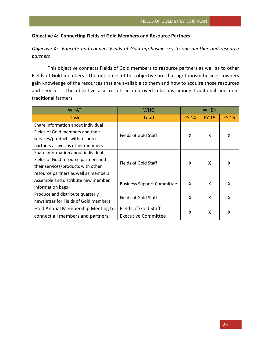# **Objective 4: Connecting Fields of Gold Members and Resource Partners**

*Objective 4: Educate and connect Fields of Gold agribusinesses to one another and resource partners*

This objective connects Fields of Gold members to resource partners as well as to other Fields of Gold members. The outcomes of this objective are that agritourism business owners gain knowledge of the resources that are available to them and how to acquire those resources and services. The objective also results in improved relations among traditional and nontraditional farmers.

| <b>WHAT</b>                           | <b>WHO</b>                        | WHFN         |              |              |
|---------------------------------------|-----------------------------------|--------------|--------------|--------------|
| Task                                  | Lead                              | <b>FY 14</b> | <b>FY 15</b> | <b>FY 16</b> |
| Share information about individual    |                                   |              |              |              |
| Fields of Gold members and their      | Fields of Gold Staff              | X            | X            | X            |
| services/products with resource       |                                   |              |              |              |
| partners as well as other members     |                                   |              |              |              |
| Share information about individual    |                                   |              |              |              |
| Fields of Gold resource partners and  | Fields of Gold Staff              | X            | X            | x            |
| their services/products with other    |                                   |              |              |              |
| resource partners as well as members  |                                   |              |              |              |
| Assemble and distribute new member    | <b>Business Support Committee</b> | X            | X            | x            |
| information bags                      |                                   |              |              |              |
| Produce and distribute quarterly      | Fields of Gold Staff              | X            | X            | X            |
| newsletter for Fields of Gold members |                                   |              |              |              |
| Hold Annual Membership Meeting to     | Fields of Gold Staff,             | Χ            | X            | x            |
| connect all members and partners      | <b>Executive Committee</b>        |              |              |              |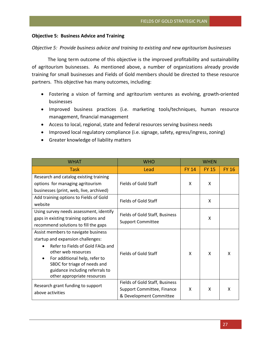# **Objective 5: Business Advice and Training**

# *Objective 5: Provide business advice and training to existing and new agritourism businesses*

The long term outcome of this objective is the improved profitability and sustainability of agritourism buisnesses. As mentioned above, a number of organizations already provide training for small businesses and Fields of Gold members should be directed to these resource partners. This objective has many outcomes, including:

- Fostering a vision of farming and agritourism ventures as evolving, growth-oriented businesses
- Improved business practices (i.e. marketing tools/techniques, human resource management, financial management
- Access to local, regional, state and federal resources serving business needs
- Improved local regulatory compliance (i.e. signage, safety, egress/ingress, zoning)
- Greater knowledge of liability matters

| <b>WHAT</b>                                                     | <b>WHO</b><br><b>WHFN</b>      |              |              |              |
|-----------------------------------------------------------------|--------------------------------|--------------|--------------|--------------|
| Task                                                            | Lead                           | <b>FY 14</b> | <b>FY 15</b> | <b>FY 16</b> |
| Research and catalog existing training                          |                                |              |              |              |
| options for managing agritourism                                | Fields of Gold Staff           |              | X            |              |
| businesses (print, web, live, archived)                         |                                |              |              |              |
| Add training options to Fields of Gold                          | Fields of Gold Staff           |              | x            |              |
| website                                                         |                                |              |              |              |
| Using survey needs assessment, identify                         | Fields of Gold Staff, Business |              |              |              |
| gaps in existing training options and                           | <b>Support Committee</b>       |              | x            |              |
| recommend solutions to fill the gaps                            |                                |              |              |              |
| Assist members to navigate business                             |                                |              |              |              |
| startup and expansion challenges:                               |                                |              |              |              |
| Refer to Fields of Gold FAQs and                                |                                |              |              |              |
| other web resources                                             | Fields of Gold Staff           | X            | X            | X            |
| For additional help, refer to                                   |                                |              |              |              |
| SBDC for triage of needs and<br>guidance including referrals to |                                |              |              |              |
| other appropriate resources                                     |                                |              |              |              |
|                                                                 | Fields of Gold Staff, Business |              |              |              |
| Research grant funding to support                               | Support Committee, Finance     | X            | x            | x            |
| above activities                                                | & Development Committee        |              |              |              |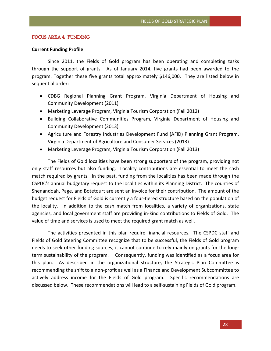# *FOCUS AREA 4: FUNDING*

# **Current Funding Profile**

Since 2011, the Fields of Gold program has been operating and completing tasks through the support of grants. As of January 2014, five grants had been awarded to the program. Together these five grants total approximately \$146,000. They are listed below in sequential order:

- CDBG Regional Planning Grant Program, Virginia Department of Housing and Community Development (2011)
- Marketing Leverage Program, Virginia Tourism Corporation (Fall 2012)
- Building Collaborative Communities Program, Virginia Department of Housing and Community Development (2013)
- Agriculture and Forestry Industries Development Fund (AFID) Planning Grant Program, Virginia Department of Agriculture and Consumer Services (2013)
- Marketing Leverage Program, Virginia Tourism Corporation (Fall 2013)

The Fields of Gold localities have been strong supporters of the program, providing not only staff resources but also funding. Locality contributions are essential to meet the cash match required by grants. In the past, funding from the localities has been made through the CSPDC's annual budgetary request to the localities within its Planning District. The counties of Shenandoah, Page, and Botetourt are sent an invoice for their contribution. The amount of the budget request for Fields of Gold is currently a four-tiered structure based on the population of the locality. In addition to the cash match from localities, a variety of organizations, state agencies, and local government staff are providing in-kind contributions to Fields of Gold. The value of time and services is used to meet the required grant match as well.

The activities presented in this plan require financial resources. The CSPDC staff and Fields of Gold Steering Committee recognize that to be successful, the Fields of Gold program needs to seek other funding sources; it cannot continue to rely mainly on grants for the longterm sustainability of the program. Consequently, funding was identified as a focus area for this plan. As described in the organizational structure, the Strategic Plan Committee is recommending the shift to a non-profit as well as a Finance and Development Subcommittee to actively address income for the Fields of Gold program. Specific recommendations are discussed below. These recommendations will lead to a self-sustaining Fields of Gold program.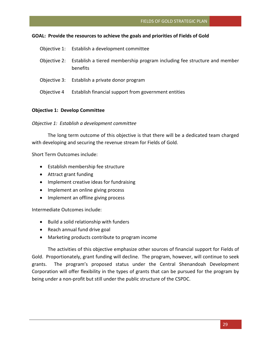# **GOAL: Provide the resources to achieve the goals and priorities of Fields of Gold**

|             | Objective 1: Establish a development committee                                                    |
|-------------|---------------------------------------------------------------------------------------------------|
|             | Objective 2: Establish a tiered membership program including fee structure and member<br>benefits |
|             | Objective 3: Establish a private donor program                                                    |
| Objective 4 | Establish financial support from government entities                                              |

# **Objective 1: Develop Committee**

# *Objective 1: Establish a development committee*

The long term outcome of this objective is that there will be a dedicated team charged with developing and securing the revenue stream for Fields of Gold.

Short Term Outcomes include:

- Establish membership fee structure
- Attract grant funding
- Implement creative ideas for fundraising
- Implement an online giving process
- Implement an offline giving process

Intermediate Outcomes include:

- Build a solid relationship with funders
- Reach annual fund drive goal
- Marketing products contribute to program income

The activities of this objective emphasize other sources of financial support for Fields of Gold. Proportionately, grant funding will decline. The program, however, will continue to seek grants. The program's proposed status under the Central Shenandoah Development Corporation will offer flexibility in the types of grants that can be pursued for the program by being under a non-profit but still under the public structure of the CSPDC.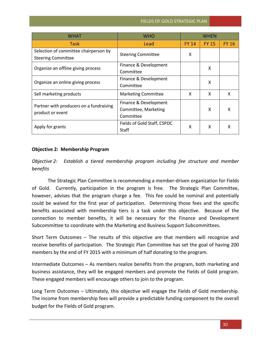| <b>WHAT</b>                                                 | <b>WHO</b>                  | WHEN         |              |              |
|-------------------------------------------------------------|-----------------------------|--------------|--------------|--------------|
| Task                                                        | Lead                        | <b>FY 14</b> | <b>FY 15</b> | <b>FY 16</b> |
| Selection of committee chairperson by                       | <b>Steering Committee</b>   | X            |              |              |
| <b>Steering Committee</b>                                   |                             |              |              |              |
| Organize an offline giving process                          | Finance & Development       |              | X            |              |
|                                                             | Committee                   |              |              |              |
| Organize an online giving process                           | Finance & Development       |              | X            |              |
|                                                             | Committee                   |              |              |              |
| Sell marketing products                                     | <b>Marketing Committee</b>  | X            | X            | X            |
| Partner with producers on a fundraising<br>product or event | Finance & Development       |              |              |              |
|                                                             | Committee, Marketing        |              | X            | x            |
|                                                             | Committee                   |              |              |              |
| Apply for grants                                            | Fields of Gold Staff, CSPDC | X            | X            | x            |
|                                                             | <b>Staff</b>                |              |              |              |

# **Objective 2: Membership Program**

*Objective 2: Establish a tiered membership program including fee structure and member benefits*

The Strategic Plan Committee is recommending a member-driven organization for Fields of Gold. Currently, participation in the program is free. The Strategic Plan Committee, however, advises that the program charge a fee. This fee could be nominal and potentially could be waived for the first year of participation. Determining those fees and the specific benefits associated with membership tiers is a task under this objective. Because of the connection to member benefits, it will be necessary for the Finance and Development Subcommittee to coordinate with the Marketing and Business Support Subcommittees.

Short Term Outcomes – The results of this objective are that members will recognize and receive benefits of participation. The Strategic Plan Committee has set the goal of having 200 members by the end of FY 2015 with a minimum of half donating to the program.

Intermediate Outcomes – As members realize benefits from the program, both marketing and business assistance, they will be engaged members and promote the Fields of Gold program. These engaged members will encourage others to join to the program.

Long Term Outcomes – Ultimately, this objective will engage the Fields of Gold membership. The income from membership fees will provide a predictable funding component to the overall budget for the Fields of Gold program.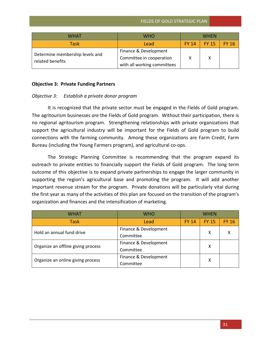| WHAT                                                | WHO                                                                              | <b>WHFN</b>  |              |              |
|-----------------------------------------------------|----------------------------------------------------------------------------------|--------------|--------------|--------------|
| <b>Task</b>                                         | Lead                                                                             | <b>FY 14</b> | <b>FY 15</b> | <b>FY 16</b> |
| Determine membership levels and<br>related benefits | Finance & Development<br>Committee in cooperation<br>with all working committees |              | x            |              |

# **Objective 3: Private Funding Partners**

# *Objective 3: Establish a private donor program*

It is recognized that the private sector must be engaged in the Fields of Gold program. The agritourism businesses *are* the Fields of Gold program. Without their participation, there is no regional agritourism program. Strengthening relationships with private organizations that support the agricultural industry will be important for the Fields of Gold program to build connections with the farming community. Among these organizations are Farm Credit, Farm Bureau (including the Young Farmers program), and agricultural co-ops.

The Strategic Planning Committee is recommending that the program expand its outreach to private entities to financially support the Fields of Gold program. The long term outcome of this objective is to expand private partnerships to engage the larger community in supporting the region's agricultural base and promoting the program. It will add another important revenue stream for the program. Private donations will be particularly vital during the first year as many of the activities of this plan are focused on the transition of the program's organization and finances and the intensification of marketing.

| WHAT                               | <b>WHO</b>            | WHFN         |              |              |
|------------------------------------|-----------------------|--------------|--------------|--------------|
| Task                               | Lead                  | <b>FY 14</b> | <b>FY 15</b> | <b>FY 16</b> |
| Hold an annual fund drive          | Finance & Development |              | х            |              |
|                                    | Committee             |              |              |              |
| Organize an offline giving process | Finance & Development |              |              |              |
|                                    | Committee             |              | х            |              |
| Organize an online giving process  | Finance & Development |              | X            |              |
|                                    | Committee             |              |              |              |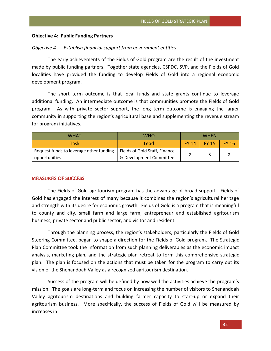# **Objective 4: Public Funding Partners**

# *Objective 4 Establish financial support from government entities*

The early achievements of the Fields of Gold program are the result of the investment made by public funding partners. Together state agencies, CSPDC, SVP, and the Fields of Gold localities have provided the funding to develop Fields of Gold into a regional economic development program.

The short term outcome is that local funds and state grants continue to leverage additional funding. An intermediate outcome is that communities promote the Fields of Gold program. As with private sector support, the long term outcome is engaging the larger community in supporting the region's agricultural base and supplementing the revenue stream for program initiatives.

| WHAT                                    | WHO                           | <b>WHFN</b> |       |                  |
|-----------------------------------------|-------------------------------|-------------|-------|------------------|
| <b>Task</b>                             | Lead                          |             | FY 15 | $\sqrt{5}$ FY 16 |
| Request funds to leverage other funding | Fields of Gold Staff, Finance |             |       |                  |
| opportunities                           | & Development Committee       |             |       |                  |

# *MEASURES OF SUCCESS*

The Fields of Gold agritourism program has the advantage of broad support. Fields of Gold has engaged the interest of many because it combines the region's agricultural heritage and strength with its desire for economic growth. Fields of Gold is a program that is meaningful to county and city, small farm and large farm, entrepreneur and established agritourism business, private sector and public sector, and visitor and resident.

Through the planning process, the region's stakeholders, particularly the Fields of Gold Steering Committee, began to shape a direction for the Fields of Gold program. The Strategic Plan Committee took the information from such planning deliverables as the economic impact analysis, marketing plan, and the strategic plan retreat to form this comprehensive strategic plan. The plan is focused on the actions that must be taken for the program to carry out its vision of the Shenandoah Valley as a recognized agritourism destination.

Success of the program will be defined by how well the activities achieve the program's mission. The goals are long-term and focus on increasing the number of visitors to Shenandoah Valley agritourism destinations and building farmer capacity to start-up or expand their agritourism business. More specifically, the success of Fields of Gold will be measured by increases in: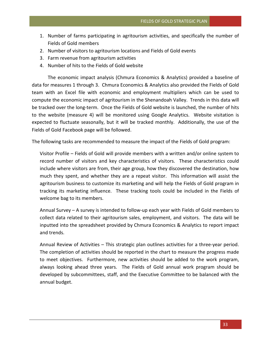- 1. Number of farms participating in agritourism activities, and specifically the number of Fields of Gold members
- 2. Number of visitors to agritourism locations and Fields of Gold events
- 3. Farm revenue from agritourism activities
- 4. Number of hits to the Fields of Gold website

The economic impact analysis (Chmura Economics & Analytics) provided a baseline of data for measures 1 through 3. Chmura Economics & Analytics also provided the Fields of Gold team with an Excel file with economic and employment multipliers which can be used to compute the economic impact of agritourism in the Shenandoah Valley. Trends in this data will be tracked over the long-term. Once the Fields of Gold website is launched, the number of hits to the website (measure 4) will be monitored using Google Analytics. Website visitation is expected to fluctuate seasonally, but it will be tracked monthly. Additionally, the use of the Fields of Gold Facebook page will be followed.

The following tasks are recommended to measure the impact of the Fields of Gold program:

Visitor Profile – Fields of Gold will provide members with a written and/or online system to record number of visitors and key characteristics of visitors. These characteristics could include where visitors are from, their age group, how they discovered the destination, how much they spent, and whether they are a repeat visitor. This information will assist the agritourism business to customize its marketing and will help the Fields of Gold program in tracking its marketing influence. These tracking tools could be included in the Fields of welcome bag to its members.

Annual Survey – A survey is intended to follow-up each year with Fields of Gold members to collect data related to their agritourism sales, employment, and visitors. The data will be inputted into the spreadsheet provided by Chmura Economics & Analytics to report impact and trends.

Annual Review of Activities – This strategic plan outlines activities for a three-year period. The completion of activities should be reported in the chart to measure the progress made to meet objectives. Furthermore, new activities should be added to the work program, always looking ahead three years. The Fields of Gold annual work program should be developed by subcommittees, staff, and the Executive Committee to be balanced with the annual budget.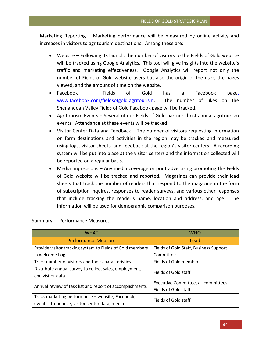Marketing Reporting – Marketing performance will be measured by online activity and increases in visitors to agritourism destinations. Among these are:

- Website Following its launch, the number of visitors to the Fields of Gold website will be tracked using Google Analytics. This tool will give insights into the website's traffic and marketing effectiveness. Google Analytics will report not only the number of Fields of Gold website users but also the origin of the user, the pages viewed, and the amount of time on the website.
- Facebook Fields of Gold has a Facebook page, [www.facebook.com/fieldsofgold.agritourism.](http://www.facebook.com/fieldsofgold.agritourism) The number of likes on the Shenandoah Valley Fields of Gold Facebook page will be tracked.
- Agritourism Events Several of our Fields of Gold partners host annual agritourism events. Attendance at these events will be tracked.
- Visitor Center Data and Feedback The number of visitors requesting information on farm destinations and activities in the region may be tracked and measured using logs, visitor sheets, and feedback at the region's visitor centers. A recording system will be put into place at the visitor centers and the information collected will be reported on a regular basis.
- Media Impressions Any media coverage or print advertising promoting the Fields of Gold website will be tracked and reported. Magazines can provide their lead sheets that track the number of readers that respond to the magazine in the form of subscription inquires, responses to reader surveys, and various other responses that include tracking the reader's name, location and address, and age. The information will be used for demographic comparison purposes.

| <b>WHAT</b>                                                                                       | <b>WHO</b>                                                   |  |
|---------------------------------------------------------------------------------------------------|--------------------------------------------------------------|--|
| <b>Performance Measure</b>                                                                        | Lead                                                         |  |
| Provide visitor tracking system to Fields of Gold members                                         | Fields of Gold Staff, Business Support                       |  |
| in welcome bag                                                                                    | Committee                                                    |  |
| Track number of visitors and their characteristics                                                | Fields of Gold members                                       |  |
| Distribute annual survey to collect sales, employment,<br>and visitor data                        | Fields of Gold staff                                         |  |
| Annual review of task list and report of accomplishments                                          | Executive Committee, all committees,<br>Fields of Gold staff |  |
| Track marketing performance - website, Facebook,<br>events attendance, visitor center data, media | Fields of Gold staff                                         |  |

Summary of Performance Measures